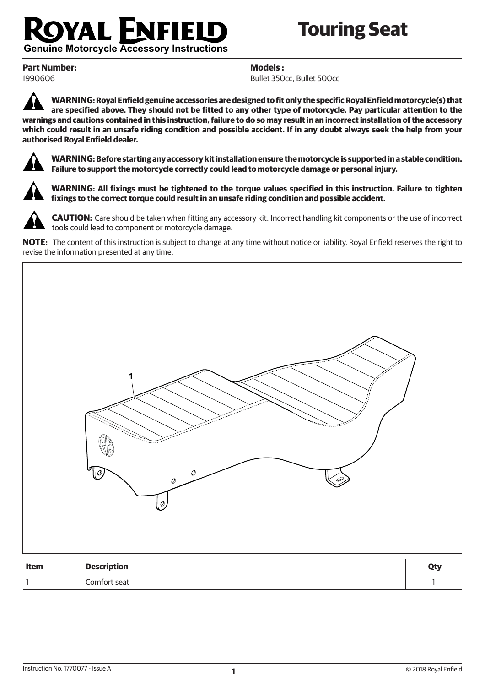## FNI FIEL YAL I

# **Touring Seat**

**Genuine Motorcycle Accessory Instructions** 

**Part Number:** 1990606

**Models :**

Bullet 350cc, Bullet 500cc

**WARNING: Royal Enfield genuine accessories are designed to fit only the specific Royal Enfield motorcycle(s) that are specified above. They should not be fitted to any other type of motorcycle. Pay particular attention to the warnings and cautions contained in this instruction, failure to do so may result in an incorrect installation of the accessory which could result in an unsafe riding condition and possible accident. If in any doubt always seek the help from your authorised Royal Enfield dealer.**



**WARNING: Before starting any accessory kit installation ensure the motorcycle is supported in a stable condition. Failure to support the motorcycle correctly could lead to motorcycle damage or personal injury.**



**WARNING: All fixings must be tightened to the torque values specified in this instruction. Failure to tighten fixings to the correct torque could result in an unsafe riding condition and possible accident.**



**CAUTION:** Care should be taken when fitting any accessory kit. Incorrect handling kit components or the use of incorrect tools could lead to component or motorcycle damage.

**NOTE:** The content of this instruction is subject to change at any time without notice or liability. Royal Enfield reserves the right to revise the information presented at any time.

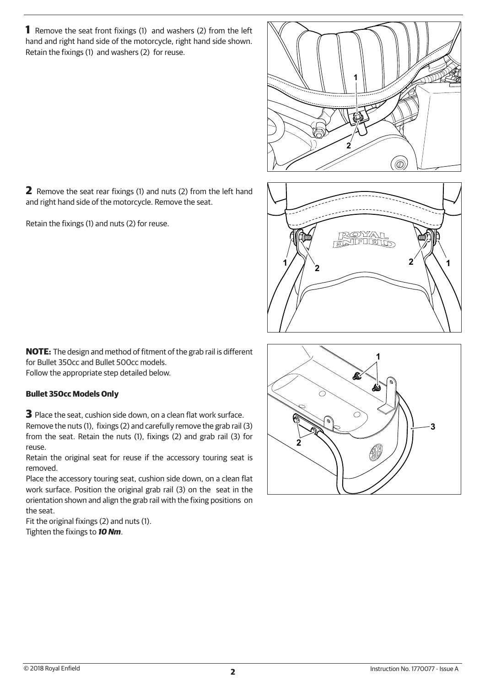**1** Remove the seat front fixings (1) and washers (2) from the left hand and right hand side of the motorcycle, right hand side shown. Retain the fixings (1) and washers (2) for reuse.

1  $\mathbf{z}$  $^{\circledR}$ 

 $\frac{1}{\sqrt{2}}$ 2 \ \ 1



**2** Remove the seat rear fixings (1) and nuts (2) from the left hand and right hand side of the motorcycle. Remove the seat.

Retain the fixings (1) and nuts (2) for reuse.

**NOTE:** The design and method of fitment of the grab rail is different for Bullet 350cc and Bullet 500cc models. Follow the appropriate step detailed below.

### **Bullet 350cc Models Only**

**3** Place the seat, cushion side down, on a clean flat work surface. Remove the nuts (1), fixings (2) and carefully remove the grab rail (3) from the seat. Retain the nuts (1), fixings (2) and grab rail (3) for reuse.

Retain the original seat for reuse if the accessory touring seat is removed.

Place the accessory touring seat, cushion side down, on a clean flat work surface. Position the original grab rail (3) on the seat in the orientation shown and align the grab rail with the fixing positions on the seat.

Fit the original fixings (2) and nuts (1). Tighten the fixings to *10 Nm*.